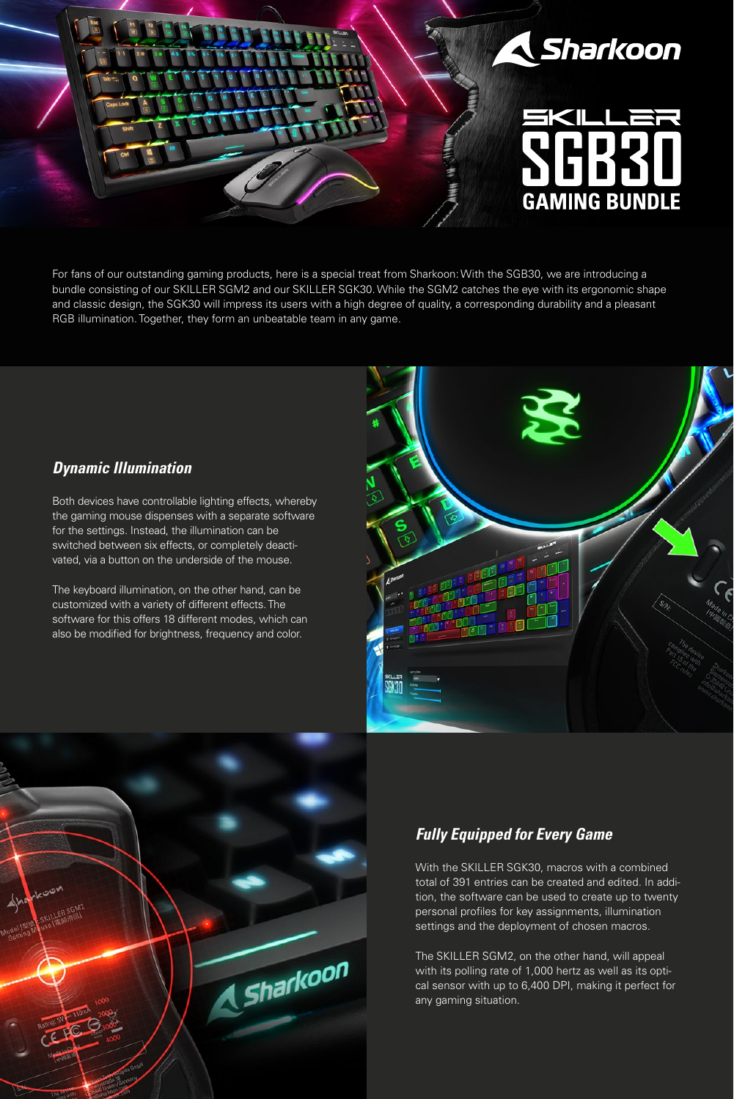

For fans of our outstanding gaming products, here is a special treat from Sharkoon: With the SGB30, we are introducing a bundle consisting of our SKILLER SGM2 and our SKILLER SGK30. While the SGM2 catches the eye with its ergonomic shape and classic design, the SGK30 will impress its users with a high degree of quality, a corresponding durability and a pleasant RGB illumination. Together, they form an unbeatable team in any game.

#### *Dynamic Illumination*

Both devices have controllable lighting effects, whereby the gaming mouse dispenses with a separate software for the settings. Instead, the illumination can be switched between six effects, or completely deactivated, via a button on the underside of the mouse.

The keyboard illumination, on the other hand, can be customized with a variety of different effects. The software for this offers 18 different modes, which can also be modified for brightness, frequency and color.





# *Fully Equipped for Every Game*

With the SKILLER SGK30, macros with a combined total of 391 entries can be created and edited. In addition, the software can be used to create up to twenty personal profiles for key assignments, illumination settings and the deployment of chosen macros.

The SKILLER SGM2, on the other hand, will appeal with its polling rate of 1,000 hertz as well as its optical sensor with up to 6,400 DPI, making it perfect for any gaming situation.